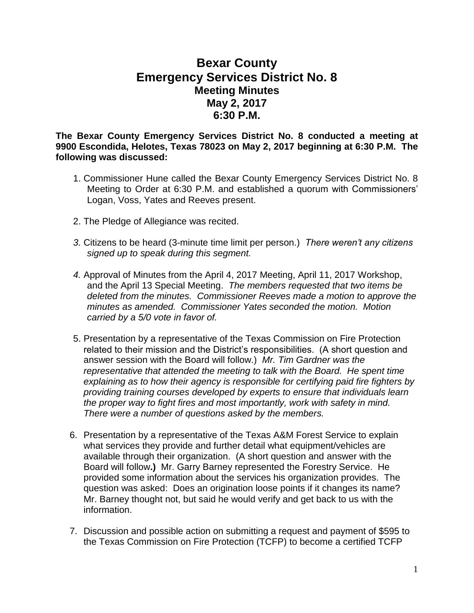## **Bexar County Emergency Services District No. 8 Meeting Minutes May 2, 2017 6:30 P.M.**

**The Bexar County Emergency Services District No. 8 conducted a meeting at 9900 Escondida, Helotes, Texas 78023 on May 2, 2017 beginning at 6:30 P.M. The following was discussed:**

- 1. Commissioner Hune called the Bexar County Emergency Services District No. 8 Meeting to Order at 6:30 P.M. and established a quorum with Commissioners' Logan, Voss, Yates and Reeves present.
- 2. The Pledge of Allegiance was recited.
- *3.* Citizens to be heard (3-minute time limit per person.) *There weren't any citizens signed up to speak during this segment.*
- *4.* Approval of Minutes from the April 4, 2017 Meeting, April 11, 2017 Workshop, and the April 13 Special Meeting. *The members requested that two items be deleted from the minutes. Commissioner Reeves made a motion to approve the minutes as amended. Commissioner Yates seconded the motion. Motion carried by a 5/0 vote in favor of.*
- 5. Presentation by a representative of the Texas Commission on Fire Protection related to their mission and the District's responsibilities. (A short question and answer session with the Board will follow.) *Mr. Tim Gardner was the representative that attended the meeting to talk with the Board. He spent time explaining as to how their agency is responsible for certifying paid fire fighters by providing training courses developed by experts to ensure that individuals learn the proper way to fight fires and most importantly, work with safety in mind. There were a number of questions asked by the members.*
- 6. Presentation by a representative of the Texas A&M Forest Service to explain what services they provide and further detail what equipment/vehicles are available through their organization. (A short question and answer with the Board will follow**.)** Mr. Garry Barney represented the Forestry Service. He provided some information about the services his organization provides.The question was asked: Does an origination loose points if it changes its name? Mr. Barney thought not, but said he would verify and get back to us with the information.
- 7. Discussion and possible action on submitting a request and payment of \$595 to the Texas Commission on Fire Protection (TCFP) to become a certified TCFP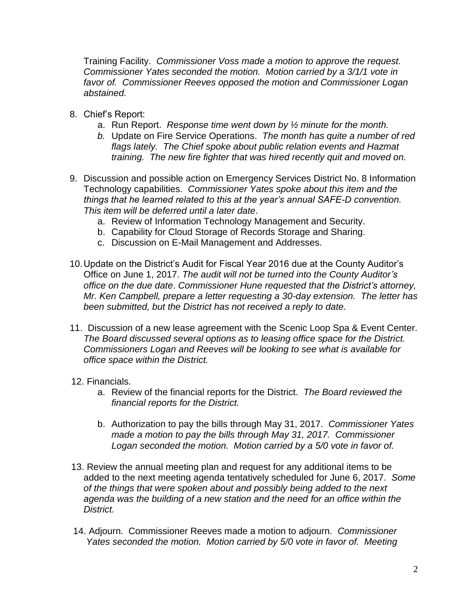Training Facility. *Commissioner Voss made a motion to approve the request. Commissioner Yates seconded the motion. Motion carried by a 3/1/1 vote in favor of. Commissioner Reeves opposed the motion and Commissioner Logan abstained.*

- 8. Chief's Report:
	- a. Run Report. *Response time went down by ½ minute for the month.*
	- *b.* Update on Fire Service Operations. *The month has quite a number of red flags lately. The Chief spoke about public relation events and Hazmat training. The new fire fighter that was hired recently quit and moved on.*
- 9. Discussion and possible action on Emergency Services District No. 8 Information Technology capabilities. *Commissioner Yates spoke about this item and the things that he learned related to this at the year's annual SAFE-D convention. This item will be deferred until a later date*.
	- a. Review of Information Technology Management and Security.
	- b. Capability for Cloud Storage of Records Storage and Sharing.
	- c. Discussion on E-Mail Management and Addresses.
- 10.Update on the District's Audit for Fiscal Year 2016 due at the County Auditor's Office on June 1, 2017. *The audit will not be turned into the County Auditor's office on the due date*. *Commissioner Hune requested that the District's attorney, Mr. Ken Campbell, prepare a letter requesting a 30-day extension. The letter has been submitted, but the District has not received a reply to date.*
- 11. Discussion of a new lease agreement with the Scenic Loop Spa & Event Center. *The Board discussed several options as to leasing office space for the District. Commissioners Logan and Reeves will be looking to see what is available for office space within the District.*
- 12. Financials.
	- a. Review of the financial reports for the District. *The Board reviewed the financial reports for the District.*
	- b. Authorization to pay the bills through May 31, 2017. *Commissioner Yates made a motion to pay the bills through May 31, 2017. Commissioner Logan seconded the motion. Motion carried by a 5/0 vote in favor of.*
- 13. Review the annual meeting plan and request for any additional items to be added to the next meeting agenda tentatively scheduled for June 6, 2017. *Some of the things that were spoken about and possibly being added to the next agenda was the building of a new station and the need for an office within the District.*
- 14. Adjourn. Commissioner Reeves made a motion to adjourn. *Commissioner Yates seconded the motion. Motion carried by 5/0 vote in favor of. Meeting*